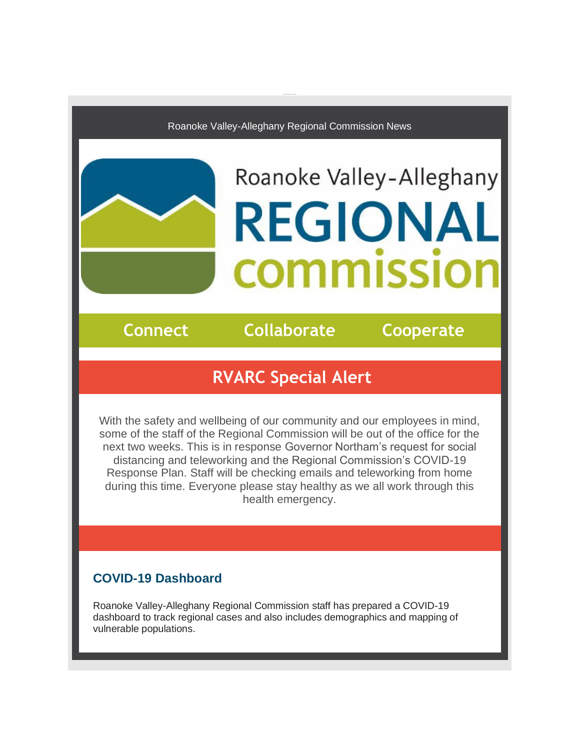Roanoke Valley-Alleghany Regional Commission News

# Roanoke Valley-Alleghany **REGIONAL COMMISSIO**

**Connect Collaborate Cooperate**

### **RVARC Special Alert**

With the safety and wellbeing of our community and our employees in mind, some of the staff of the Regional Commission will be out of the office for the next two weeks. This is in response Governor Northam's request for social distancing and teleworking and the Regional Commission's COVID-19 Response Plan. Staff will be checking emails and teleworking from home during this time. Everyone please stay healthy as we all work through this health emergency.

#### **COVID-19 Dashboard**

[Roanoke Valley-Alleghany Regional Commission](http://r20.rs6.net/tn.jsp?f=0012i4MJSzDBykPLViLo2WyukR-5nkbUUhFa8tn5E77mLTBNZ1rg-P_hOUibzjWoP_x2LWRPnzKP3h-CbcC8GaLZnnPgGvw3UxJCLcMT1ISOyIhd8V-MC-YBhg1Fup8bfaJoQGZ8UGdg_OxrCTtZRn1oPJiLU2BMLkOcIn7gDS2IbpVXvmvM5aM6_irZg5ueDdoeExy2Tq2ZlyBtBevQ7KuysjlswlqTST9UliXyxepXSY9SFhta2-9mpVLUPQgcsjGLWxx5v9YhtSnDAuPj0GFz3AVvHwa_WWyGJGbDpdxlS6r6cTu4vt813jiVEvTTl0druOGtMCDNzeC_-N_vSMKtV3l-P_h7I1VLW0XkYQ43-SOOUHpylhvLwAr-HjTNyuT0tEng6b7EHZ6TDI0vLj_QXxFZPDcgldeimAEuLwyAT1-lwp0B5VypZ-hrpacJqDnG-D7m2nJa5-uIJ7JYo9QU_P1ERVUW5lI6kGsqfz5I3yaDMJdt7MF3KRHB6v8GzraSs19ACF8UACn93XDmYsw_xEbvpvH480SoFmmdQBF2Nmr9oYPzBNeQC-zsOuj75sa4n_M0BfxtVACLGj83e7sUmZ2PBz-Whm5u5KNjA4oIxwGWnXHYrB08WFbanZmI_4ctxkLC9MhvZazJwrMa1O0636aQJ2b2OKvHTVwx3MCKJSRwlNcZl8oRzwHdB-nQNvwd2ExLRN1D6_1VyhvHtUO0IGzm4kx6raPCGFdTT7OvF9A7Nch4Qdok0gkNEVltwcSphSAeJ8G55s34AlFp1kOoC33hNtnZqWH6WjKpDde0OY=&c=sfe681TUrHL0pSV_JdUNnpgswBeY-DtcCqWHZZKlOhfJx0xOYFgXLQ==&ch=tXhxKgcx32pe-b9xwssyiO1ney2j2N9ee4MccGzKPenBMPQBFBmk0Q==) staff has prepared a COVID-19 dashboard to track regional cases and also includes demographics and mapping of vulnerable populations.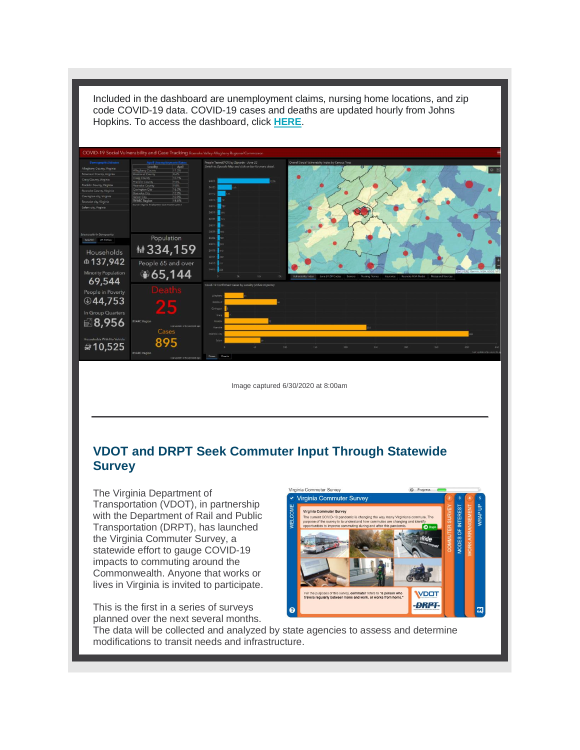

Included in the dashboard are unemployment claims, nursing home locations, and zip code COVID-19 data. COVID-19 cases and deaths are updated hourly from Johns

Image captured 6/30/2020 at 8:00am

#### **VDOT and DRPT Seek Commuter Input Through Statewide Survey**

The Virginia Department of Transportation (VDOT), in partnership with the Department of Rail and Public Transportation (DRPT), has launched the Virginia Commuter Survey, a statewide effort to gauge COVID-19 impacts to commuting around the Commonwealth. Anyone that works or lives in Virginia is invited to participate.

This is the first in a series of surveys planned over the next several months.



The data will be collected and analyzed by state agencies to assess and determine modifications to transit needs and infrastructure.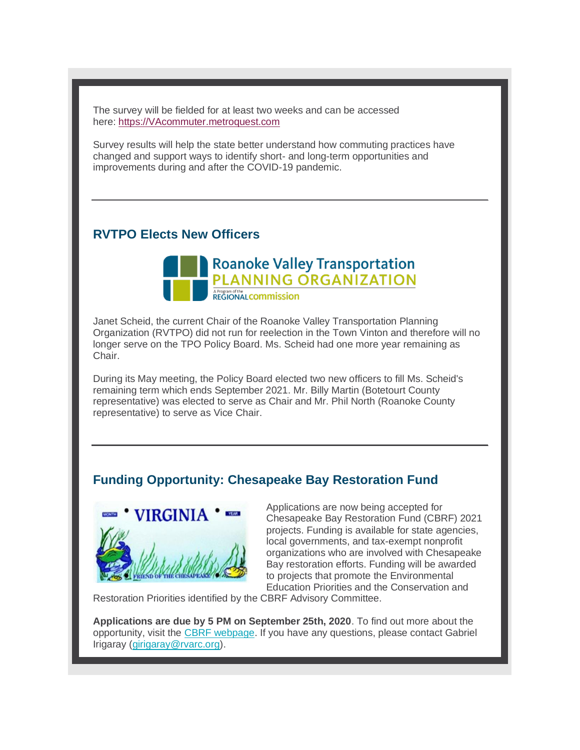The survey will be fielded for at least two weeks and can be accessed here: [https://VAcommuter.metroquest.com](http://r20.rs6.net/tn.jsp?f=0012i4MJSzDBykPLViLo2WyukR-5nkbUUhFa8tn5E77mLTBNZ1rg-P_hB0slJePmaPDPwRqJv5h-G1BuJBxziXILE40Tg-SyAMtUwrwKZb85-U9LDpooHd5hbvEsplbBGJovtn2uX8sHwIppOuXfUMbjvpMZfQMGeN0&c=sfe681TUrHL0pSV_JdUNnpgswBeY-DtcCqWHZZKlOhfJx0xOYFgXLQ==&ch=tXhxKgcx32pe-b9xwssyiO1ney2j2N9ee4MccGzKPenBMPQBFBmk0Q==)

Survey results will help the state better understand how commuting practices have changed and support ways to identify short- and long-term opportunities and improvements during and after the COVID-19 pandemic.

#### **RVTPO Elects New Officers**



Janet Scheid, the current Chair of the Roanoke Valley Transportation Planning Organization (RVTPO) did not run for reelection in the Town Vinton and therefore will no longer serve on the TPO Policy Board. Ms. Scheid had one more year remaining as Chair.

During its May meeting, the Policy Board elected two new officers to fill Ms. Scheid's remaining term which ends September 2021. Mr. Billy Martin (Botetourt County representative) was elected to serve as Chair and Mr. Phil North (Roanoke County representative) to serve as Vice Chair.

#### **Funding Opportunity: Chesapeake Bay Restoration Fund**



Applications are now being accepted for Chesapeake Bay Restoration Fund (CBRF) 2021 projects. Funding is available for state agencies, local governments, and tax-exempt nonprofit organizations who are involved with Chesapeake Bay restoration efforts. Funding will be awarded to projects that promote the Environmental Education Priorities and the Conservation and

Restoration Priorities identified by the CBRF Advisory Committee.

**Applications are due by 5 PM on September 25th, 2020**. To find out more about the opportunity, visit the [CBRF webpage.](http://r20.rs6.net/tn.jsp?f=0012i4MJSzDBykPLViLo2WyukR-5nkbUUhFa8tn5E77mLTBNZ1rg-P_hB0slJePmaPDmdMW8-m0BzDJZjeyiGwFzMw4tf2Lc-tgVUHm4tB22TlRKnZtaNTl2w_qLuFhVF9LzAH4e2fW-rk=&c=sfe681TUrHL0pSV_JdUNnpgswBeY-DtcCqWHZZKlOhfJx0xOYFgXLQ==&ch=tXhxKgcx32pe-b9xwssyiO1ney2j2N9ee4MccGzKPenBMPQBFBmk0Q==) If you have any questions, please contact Gabriel Irigaray [\(girigaray@rvarc.org\)](mailto:girigaray@rvarc.org).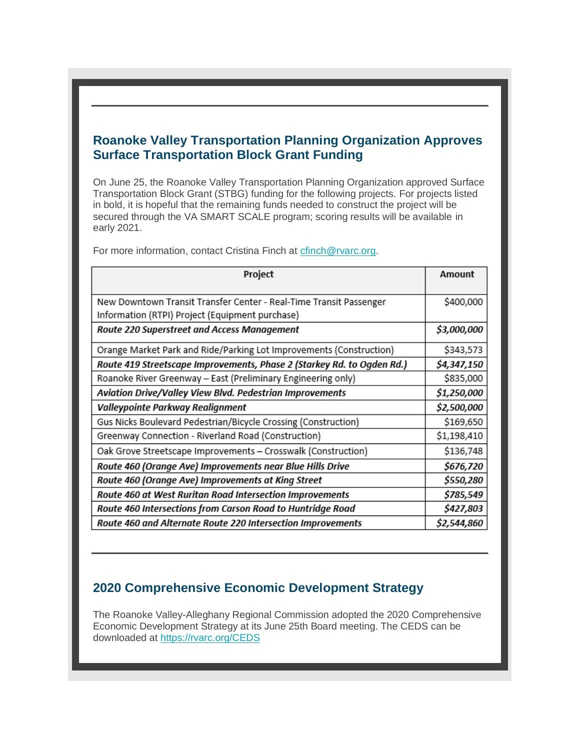#### **Roanoke Valley Transportation Planning Organization Approves Surface Transportation Block Grant Funding**

On June 25, the Roanoke Valley Transportation Planning Organization approved Surface Transportation Block Grant (STBG) funding for the following projects. For projects listed in bold, it is hopeful that the remaining funds needed to construct the project will be secured through the VA SMART SCALE program; scoring results will be available in early 2021.

| Project                                                                | Amount      |
|------------------------------------------------------------------------|-------------|
|                                                                        |             |
| New Downtown Transit Transfer Center - Real-Time Transit Passenger     | \$400,000   |
| Information (RTPI) Project (Equipment purchase)                        |             |
| Route 220 Superstreet and Access Management                            | \$3,000,000 |
| Orange Market Park and Ride/Parking Lot Improvements (Construction)    | \$343,573   |
| Route 419 Streetscape Improvements, Phase 2 (Starkey Rd. to Ogden Rd.) | \$4,347,150 |
| Roanoke River Greenway - East (Preliminary Engineering only)           | \$835,000   |
| Aviation Drive/Valley View Blvd. Pedestrian Improvements               | \$1,250,000 |
| Valleypointe Parkway Realignment                                       | \$2,500,000 |
| Gus Nicks Boulevard Pedestrian/Bicycle Crossing (Construction)         | \$169,650   |
| Greenway Connection - Riverland Road (Construction)                    | \$1,198,410 |
| Oak Grove Streetscape Improvements - Crosswalk (Construction)          | \$136,748   |
| Route 460 (Orange Ave) Improvements near Blue Hills Drive              | \$676,720   |
| Route 460 (Orange Ave) Improvements at King Street                     | \$550,280   |
| Route 460 at West Ruritan Road Intersection Improvements               | \$785,549   |
| Route 460 Intersections from Carson Road to Huntridge Road             | \$427,803   |
| Route 460 and Alternate Route 220 Intersection Improvements            | \$2,544,860 |

For more information, contact Cristina Finch at [cfinch@rvarc.org.](mailto:cfinch@rvarc.org)

#### **2020 Comprehensive Economic Development Strategy**

The Roanoke Valley-Alleghany Regional Commission adopted the 2020 Comprehensive Economic Development Strategy at its June 25th Board meeting. The CEDS can be downloaded at [https://rvarc.org/CEDS](http://r20.rs6.net/tn.jsp?f=0012i4MJSzDBykPLViLo2WyukR-5nkbUUhFa8tn5E77mLTBNZ1rg-P_hB0slJePmaPDoB2kbsulYcIHFGdbmwqlE2ffHp2rxWKtneBAOrOvqmQTeTrvvKClFs7jqZU62J5kwM2depJ9Ls0=&c=sfe681TUrHL0pSV_JdUNnpgswBeY-DtcCqWHZZKlOhfJx0xOYFgXLQ==&ch=tXhxKgcx32pe-b9xwssyiO1ney2j2N9ee4MccGzKPenBMPQBFBmk0Q==)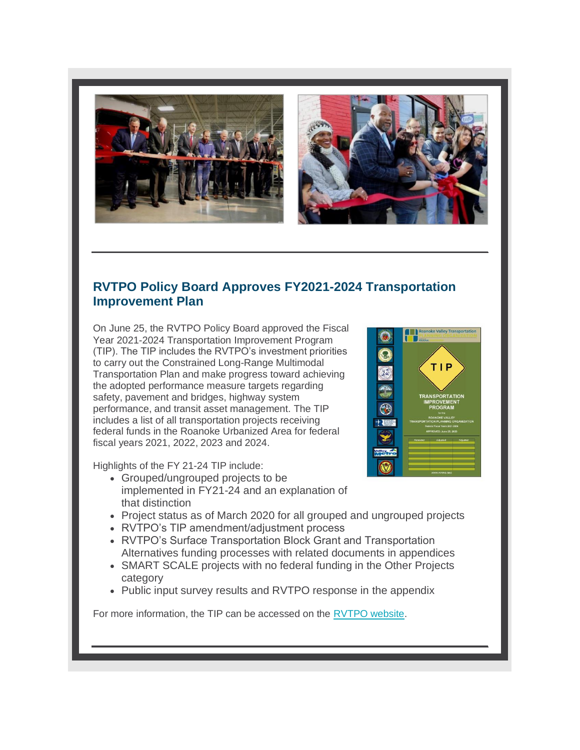



#### **RVTPO Policy Board Approves FY2021-2024 Transportation Improvement Plan**

On June 25, the RVTPO Policy Board approved the Fiscal Year 2021-2024 Transportation Improvement Program (TIP). The TIP includes the RVTPO's investment priorities to carry out the Constrained Long-Range Multimodal Transportation Plan and make progress toward achieving the adopted performance measure targets regarding safety, pavement and bridges, highway system performance, and transit asset management. The TIP includes a list of all transportation projects receiving federal funds in the Roanoke Urbanized Area for federal fiscal years 2021, 2022, 2023 and 2024.

Highlights of the FY 21-24 TIP include:

- Grouped/ungrouped projects to be implemented in FY21-24 and an explanation of that distinction
- Project status as of March 2020 for all grouped and ungrouped projects
- RVTPO's TIP amendment/adjustment process
- RVTPO's Surface Transportation Block Grant and Transportation Alternatives funding processes with related documents in appendices
- SMART SCALE projects with no federal funding in the Other Projects category
- Public input survey results and RVTPO response in the appendix

For more information, the TIP can be accessed on the [RVTPO website.](http://r20.rs6.net/tn.jsp?f=0012i4MJSzDBykPLViLo2WyukR-5nkbUUhFa8tn5E77mLTBNZ1rg-P_hB0slJePmaPDfmj27QuzkQLjz5M3ASvFehpSLLBvKh1R1yMQqeqnBJKdIIMcMQ78-uCxCatCI9wqiUoAbSfAqunpd2JOH1LRMSb2n9c9jTHCUsNsBE20DjH1thci_3FBX9NSzPpx02Vm4Bwh-JKtKbE=&c=sfe681TUrHL0pSV_JdUNnpgswBeY-DtcCqWHZZKlOhfJx0xOYFgXLQ==&ch=tXhxKgcx32pe-b9xwssyiO1ney2j2N9ee4MccGzKPenBMPQBFBmk0Q==)

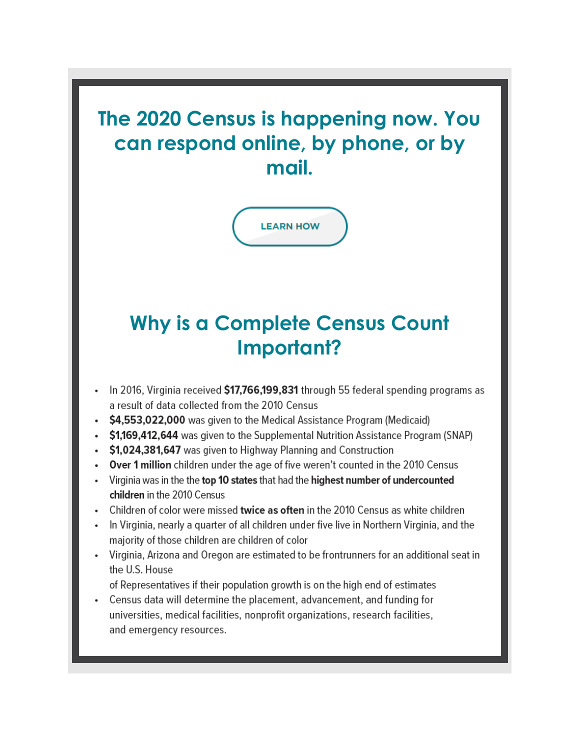**The 2020 Census is happening now. You can respond online, by phone, or by mail.**



## **Why is a Complete Census Count Important?**

- In 2016, Virginia received \$17,766,199,831 through 55 federal spending programs as a result of data collected from the 2010 Census
- \$4,553,022,000 was given to the Medical Assistance Program (Medicaid)
- \$1,169,412,644 was given to the Supplemental Nutrition Assistance Program (SNAP)
- \$1,024,381,647 was given to Highway Planning and Construction
- Over 1 million children under the age of five weren't counted in the 2010 Census
- Virginia was in the the top 10 states that had the highest number of undercounted children in the 2010 Census
- Children of color were missed twice as often in the 2010 Census as white children
- In Virginia, nearly a quarter of all children under five live in Northern Virginia, and the majority of those children are children of color
- Virginia, Arizona and Oregon are estimated to be frontrunners for an additional seat in the U.S. House
	- of Representatives if their population growth is on the high end of estimates
- Census data will determine the placement, advancement, and funding for universities, medical facilities, nonprofit organizations, research facilities, and emergency resources.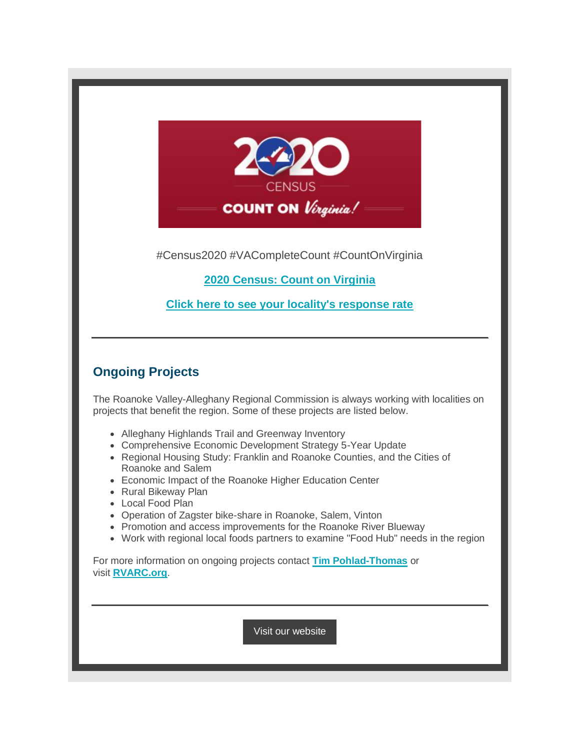

#Census2020 #VACompleteCount #CountOnVirginia

**[2020 Census: Count on Virginia](http://r20.rs6.net/tn.jsp?f=0012i4MJSzDBykPLViLo2WyukR-5nkbUUhFa8tn5E77mLTBNZ1rg-P_hMxfAf09fjlNaq7P_AqofxCOSwpQvVTuKg0AsHi0XuwRKNUF7MMBTwVICkcmQo3l2d_8VZLVHJvL3ZacADPgQq-pEguOi3OqQFw-tvmkNY4AJvqoavQS6W36XV-J3wuw8hiiDoMCP1ZFoaQS0s3yJX6BCAlEtd2xv3qOUbup9U01NN3K_Vt_cOc=&c=sfe681TUrHL0pSV_JdUNnpgswBeY-DtcCqWHZZKlOhfJx0xOYFgXLQ==&ch=tXhxKgcx32pe-b9xwssyiO1ney2j2N9ee4MccGzKPenBMPQBFBmk0Q==)**

**[Click here to see your locality's response rate](http://r20.rs6.net/tn.jsp?f=0012i4MJSzDBykPLViLo2WyukR-5nkbUUhFa8tn5E77mLTBNZ1rg-P_hOJYQzJsq3PHwwPRBf6wQ9NeMgEuD1Ylg8RmLviD71uhSo0_KR2B3S4qD8Ry0HN_eHE9GOXEySEWsGnoa8BYmxQwl0oPFwHUvhJvzJD3wGcugQ6tEpv8qo8iX16wwU4z7ZkDUw4QOXkJ7P2GQ_rHRvzkxMI3-QSrTnFs85ax9veYZVNwQfUoFVl9bw2Fk0LYYw==&c=sfe681TUrHL0pSV_JdUNnpgswBeY-DtcCqWHZZKlOhfJx0xOYFgXLQ==&ch=tXhxKgcx32pe-b9xwssyiO1ney2j2N9ee4MccGzKPenBMPQBFBmk0Q==)**

#### **Ongoing Projects**

The Roanoke Valley-Alleghany Regional Commission is always working with localities on projects that benefit the region. Some of these projects are listed below.

- Alleghany Highlands Trail and Greenway Inventory
- Comprehensive Economic Development Strategy 5-Year Update
- Regional Housing Study: Franklin and Roanoke Counties, and the Cities of Roanoke and Salem
- Economic Impact of the Roanoke Higher Education Center
- Rural Bikeway Plan
- Local Food Plan
- Operation of Zagster bike-share in Roanoke, Salem, Vinton
- Promotion and access improvements for the Roanoke River Blueway
- Work with regional local foods partners to examine "Food Hub" needs in the region

For more information on ongoing projects contact **[Tim Pohlad-Thomas](mailto:timpohladthomas@rvarc.org)** or visit **[RVARC.org](http://r20.rs6.net/tn.jsp?f=0012i4MJSzDBykPLViLo2WyukR-5nkbUUhFa8tn5E77mLTBNZ1rg-P_hLQYUE46SvLUeY9epHuR_0ienYyg0SnjyihXZIcgGSS_dnRevjvHEE46gZuVzZR4WFiuxygqwiogyVrxgj-P8tmq7iT1fpJjYQmul1dhMg_LGzg2sn3XuWVfVzxh4I4IIUC6vbInTCR69TGV91TqQp4=&c=sfe681TUrHL0pSV_JdUNnpgswBeY-DtcCqWHZZKlOhfJx0xOYFgXLQ==&ch=tXhxKgcx32pe-b9xwssyiO1ney2j2N9ee4MccGzKPenBMPQBFBmk0Q==)**.

[Visit our website](http://r20.rs6.net/tn.jsp?f=0012i4MJSzDBykPLViLo2WyukR-5nkbUUhFa8tn5E77mLTBNZ1rg-P_hLQYUE46SvLUeY9epHuR_0ienYyg0SnjyihXZIcgGSS_dnRevjvHEE46gZuVzZR4WFiuxygqwiogyVrxgj-P8tmq7iT1fpJjYQmul1dhMg_LGzg2sn3XuWVfVzxh4I4IIUC6vbInTCR69TGV91TqQp4=&c=sfe681TUrHL0pSV_JdUNnpgswBeY-DtcCqWHZZKlOhfJx0xOYFgXLQ==&ch=tXhxKgcx32pe-b9xwssyiO1ney2j2N9ee4MccGzKPenBMPQBFBmk0Q==)